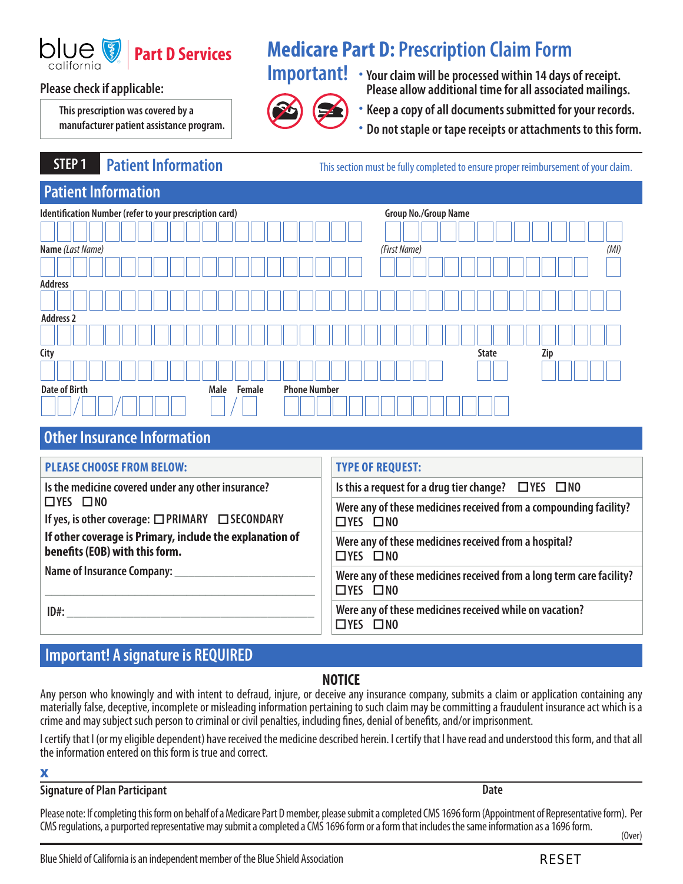

**This prescription was covered by a manufacturer patient assistance program.** 

# **Part D Services Medicare Part D: Prescription Claim Form**



**Important!** • **Your claim will be processed within 14 days of receipt. Please check if applicable: Please allow additional time for all associated mailings.** 

• **Keep a copy of all documents submitted for your records.** 

• **Do not staple or tape receipts or attachments to this form.** 

**STEP 1** Patient Information **Number 2018** This section must be fully completed to ensure proper reimbursement of your claim.

# **Patient Information Identification Number (refer to your prescription card)** Group No./Group No./Group Name **Name** *(Last Name) (First Name)*  **Address City State Zip**  *(MI)*  **Address 2 Date of Birth Male Female Phone Number Male Female**

# **Other Insurance Information**

| <b>PLEASE CHOOSE FROM BELOW:</b>                                                           | <b>TYPE OF REQUEST:</b>                                                                                                                                                         |  |
|--------------------------------------------------------------------------------------------|---------------------------------------------------------------------------------------------------------------------------------------------------------------------------------|--|
| Is the medicine covered under any other insurance?                                         | Is this a request for a drug tier change? $\Box$ YES $\Box$ NO                                                                                                                  |  |
| $\Box$ YES $\Box$ NO<br>If yes, is other coverage: □PRIMARY □ SECONDARY                    | Were any of these medicines received from a compounding facility?<br>$\Box$ YES $\Box$ NO                                                                                       |  |
| If other coverage is Primary, include the explanation of<br>benefits (EOB) with this form. | Were any of these medicines received from a hospital?<br>$\Box$ YES $\Box$ NO                                                                                                   |  |
| Name of Insurance Company:                                                                 | Were any of these medicines received from a long term care facility?<br>$\Box$ YES $\Box$ NO<br>Were any of these medicines received while on vacation?<br>$\Box$ YES $\Box$ NO |  |
| $ID#$ :                                                                                    |                                                                                                                                                                                 |  |

# **Important! A signature is REQUIRED**

### **NOTICE**

Any person who knowingly and with intent to defraud, injure, or deceive any insurance company, submits a claim or application containing any materially false, deceptive, incomplete or misleading information pertaining to such claim may be committing a fraudulent insurance act which is a crime and may subject such person to criminal or civil penalties, including fnes, denial of benefts, and/or imprisonment.

I certify that I (or my eligible dependent) have received the medicine described herein. I certify that I have read and understood this form, and that all the information entered on this form is true and correct.

### X

### **Signature of Plan Participant Date Accord Plan Participant**

Please note: If completing this form on behalf of a Medicare Part D member, please submit a completed CMS 1696 form (Appointment of Representative form). Per CMS regulations, a purported representative may submit a completed a CMS 1696 form or a form that includes the same information as a 1696 form. (Over)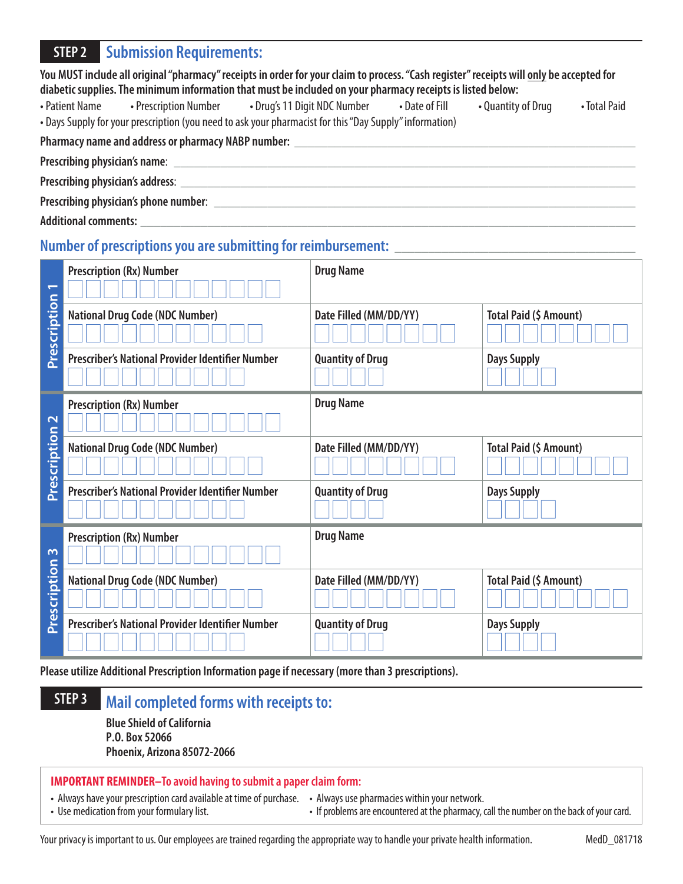## **STEP 2 Submission Requirements:**

| You MUST include all original "pharmacy" receipts in order for your claim to process. "Cash register" receipts will <u>only</u> be accepted for |  |  |  |  |  |
|-------------------------------------------------------------------------------------------------------------------------------------------------|--|--|--|--|--|
| diabetic supplies. The minimum information that must be included on your pharmacy receipts is listed below:                                     |  |  |  |  |  |

• Patient Name • Prescription Number • Drug's 11 Digit NDC Number • Date of Fill • Quantity of Drug • Total Paid • Days Supply for your prescription (you need to ask your pharmacist for this "Day Supply" information)

Pharmacy name and address or pharmacy NABP number: **with all and the set of the set of the set of the set of the set of the set of the set of the set of the set of the set of the set of the set of the set of the set of the** 

Prescribing physician's name:

**Prescribing physician's address**: \_\_\_\_\_\_\_\_\_\_\_\_\_\_\_\_\_\_\_\_\_\_\_\_\_\_\_\_\_\_\_\_\_\_\_\_\_\_\_\_\_\_\_\_\_\_\_\_\_\_\_\_\_\_\_\_\_\_\_\_\_\_\_\_\_\_\_\_

**Prescribing physician's phone number**: \_\_\_\_\_\_\_\_\_\_\_\_\_\_\_\_\_\_\_\_\_\_\_\_\_\_\_\_\_\_\_\_\_\_\_\_\_\_\_\_\_\_\_\_\_\_\_\_\_\_\_\_\_\_\_\_\_\_\_\_\_\_\_

**Additional comments:** \_\_\_\_\_\_\_\_\_\_\_\_\_\_\_\_\_\_\_\_\_\_\_\_\_\_\_\_\_\_\_\_\_\_\_\_\_\_\_\_\_\_\_\_\_\_\_\_\_\_\_\_\_\_\_\_\_\_\_\_\_\_\_\_\_\_\_\_\_\_\_\_\_\_

## **Number of prescriptions you are submitting for reimbursement:**

| $\overline{\phantom{0}}$<br>Prescription | <b>Prescription (Rx) Number</b>                  | <b>Drug Name</b>        |                        |
|------------------------------------------|--------------------------------------------------|-------------------------|------------------------|
|                                          | <b>National Drug Code (NDC Number)</b>           | Date Filled (MM/DD/YY)  | Total Paid (\$ Amount) |
|                                          | Prescriber's National Provider Identifier Number | <b>Quantity of Drug</b> | <b>Days Supply</b>     |
| $\mathbf{\Omega}$<br>Prescription        | <b>Prescription (Rx) Number</b>                  | <b>Drug Name</b>        |                        |
|                                          | <b>National Drug Code (NDC Number)</b>           | Date Filled (MM/DD/YY)  | Total Paid (\$ Amount) |
|                                          | Prescriber's National Provider Identifier Number | <b>Quantity of Drug</b> | <b>Days Supply</b>     |
| $\sim$                                   | <b>Prescription (Rx) Number</b>                  | <b>Drug Name</b>        |                        |
| Prescription                             | <b>National Drug Code (NDC Number)</b>           | Date Filled (MM/DD/YY)  | Total Paid (\$ Amount) |
|                                          | Prescriber's National Provider Identifier Number | <b>Quantity of Drug</b> | <b>Days Supply</b>     |

**Please utilize Additional Prescription Information page if necessary (more than 3 prescriptions).** 

# **STEP 3 Mail completed forms with receipts to:**

**Blue Shield of California P.O. Box 52066 Phoenix, Arizona 85072-2066**

### **IMPORTANT REMINDER–To avoid having to submit a paper claim form:**

• Always have your prescription card available at time of purchase. • Always use pharmacies within your network.<br>• Use medication from your formulary list. <br>• If problems are encountered at the pharmacy, c

• If problems are encountered at the pharmacy, call the number on the back of your card.